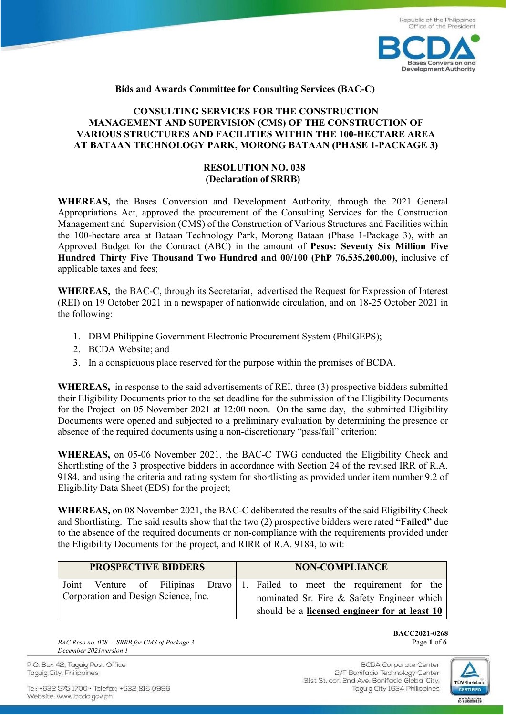

## **Bids and Awards Committee for Consulting Services (BAC-C)**

# **CONSULTING SERVICES FOR THE CONSTRUCTION MANAGEMENT AND SUPERVISION (CMS) OF THE CONSTRUCTION OF VARIOUS STRUCTURES AND FACILITIES WITHIN THE 100-HECTARE AREA AT BATAAN TECHNOLOGY PARK, MORONG BATAAN (PHASE 1-PACKAGE 3)**

# **RESOLUTION NO. 038 (Declaration of SRRB)**

**WHEREAS,** the Bases Conversion and Development Authority, through the 2021 General Appropriations Act, approved the procurement of the Consulting Services for the Construction Management and Supervision (CMS) of the Construction of Various Structures and Facilities within the 100-hectare area at Bataan Technology Park, Morong Bataan (Phase 1-Package 3), with an Approved Budget for the Contract (ABC) in the amount of **Pesos: Seventy Six Million Five Hundred Thirty Five Thousand Two Hundred and 00/100 (PhP 76,535,200.00)**, inclusive of applicable taxes and fees;

**WHEREAS,** the BAC-C, through its Secretariat, advertised the Request for Expression of Interest (REI) on 19 October 2021 in a newspaper of nationwide circulation, and on 18-25 October 2021 in the following:

- 1. DBM Philippine Government Electronic Procurement System (PhilGEPS);
- 2. BCDA Website; and
- 3. In a conspicuous place reserved for the purpose within the premises of BCDA.

**WHEREAS,** in response to the said advertisements of REI, three (3) prospective bidders submitted their Eligibility Documents prior to the set deadline for the submission of the Eligibility Documents for the Project on 05 November 2021 at 12:00 noon. On the same day, the submitted Eligibility Documents were opened and subjected to a preliminary evaluation by determining the presence or absence of the required documents using a non-discretionary "pass/fail" criterion;

**WHEREAS,** on 05-06 November 2021, the BAC-C TWG conducted the Eligibility Check and Shortlisting of the 3 prospective bidders in accordance with Section 24 of the revised IRR of R.A. 9184, and using the criteria and rating system for shortlisting as provided under item number 9.2 of Eligibility Data Sheet (EDS) for the project;

**WHEREAS,** on 08 November 2021, the BAC-C deliberated the results of the said Eligibility Check and Shortlisting. The said results show that the two (2) prospective bidders were rated **"Failed"** due to the absence of the required documents or non-compliance with the requirements provided under the Eligibility Documents for the project, and RIRR of R.A. 9184, to wit:

| <b>PROSPECTIVE BIDDERS</b>           |  |  |  | <b>NON-COMPLIANCE</b>                      |  |  |  |  |                                               |                                                                            |  |
|--------------------------------------|--|--|--|--------------------------------------------|--|--|--|--|-----------------------------------------------|----------------------------------------------------------------------------|--|
|                                      |  |  |  |                                            |  |  |  |  |                                               | Joint Venture of Filipinas Dravo 1. Failed to meet the requirement for the |  |
| Corporation and Design Science, Inc. |  |  |  | nominated Sr. Fire & Safety Engineer which |  |  |  |  |                                               |                                                                            |  |
|                                      |  |  |  |                                            |  |  |  |  | should be a licensed engineer for at least 10 |                                                                            |  |

*BAC Reso no. 038 – SRRB for CMS of Package 3* Page **1** of **6** *December 2021/version 1*

**BACC2021-0268**

P.O. Box 42, Taguig Post Office Taguig City, Philippines

Tel: +632 575 1700 · Telefax: +632 816 0996 Website: www.bcda.gov.ph

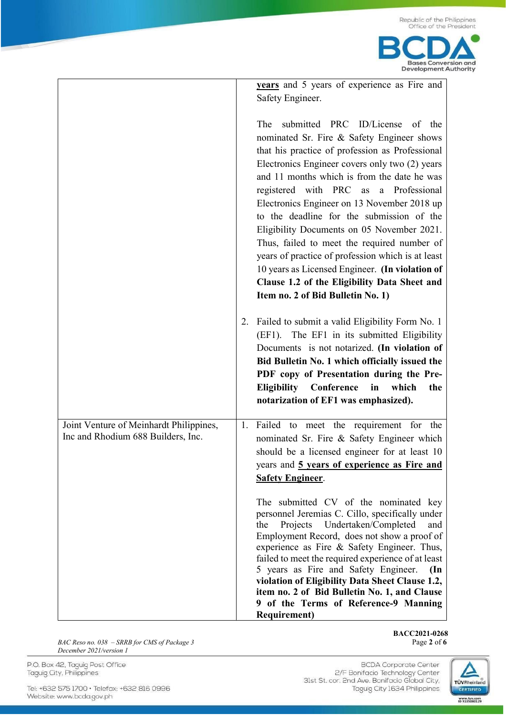

**years** and 5 years of experience as Fire and Safety Engineer.

The submitted PRC ID/License of the nominated Sr. Fire & Safety Engineer shows that his practice of profession as Professional Electronics Engineer covers only two (2) years and 11 months which is from the date he was registered with PRC as a Professional Electronics Engineer on 13 November 2018 up to the deadline for the submission of the Eligibility Documents on 05 November 2021. Thus, failed to meet the required number of years of practice of profession which is at least 10 years as Licensed Engineer. **(In violation of Clause 1.2 of the Eligibility Data Sheet and Item no. 2 of Bid Bulletin No. 1)**

2. Failed to submit a valid Eligibility Form No. 1 (EF1). The EF1 in its submitted Eligibility Documents is not notarized. **(In violation of Bid Bulletin No. 1 which officially issued the PDF copy of Presentation during the Pre-Eligibility Conference in which the notarization of EF1 was emphasized).**

Joint Venture of Meinhardt Philippines, Inc and Rhodium 688 Builders, Inc. 1. Failed to meet the requirement for the nominated Sr. Fire & Safety Engineer which should be a licensed engineer for at least 10 years and **5 years of experience as Fire and Safety Engineer**. The submitted CV of the nominated key

personnel Jeremias C. Cillo, specifically under the Projects Undertaken/Completed and Employment Record, does not show a proof of experience as Fire & Safety Engineer. Thus, failed to meet the required experience of at least 5 years as Fire and Safety Engineer. **(In violation of Eligibility Data Sheet Clause 1.2, item no. 2 of Bid Bulletin No. 1, and Clause 9 of the Terms of Reference-9 Manning Requirement)**

*BAC Reso no. 038 – SRRB for CMS of Package 3* Page 2 of 6 *December 2021/version 1*

**BACC2021-0268**

P.O. Box 42, Taguig Post Office Taguig City, Philippines

Tel: +632 575 1700 · Telefax: +632 816 0996 Website: www.bcda.gov.ph

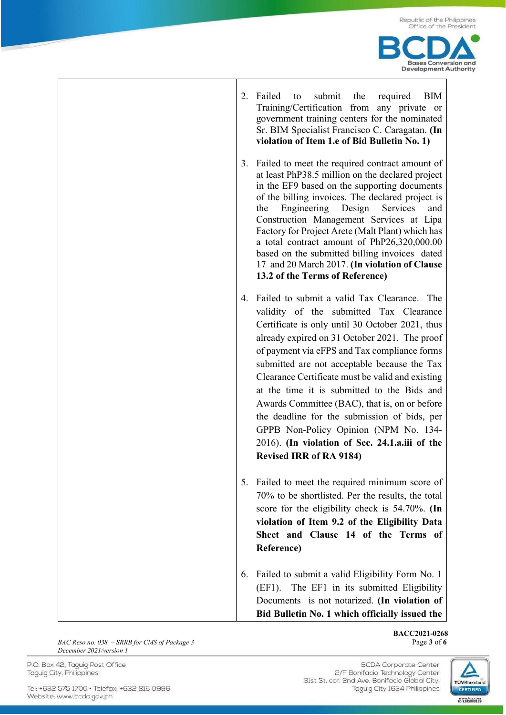

| 2. | Failed<br>submit<br>the<br>required<br>BIM<br>to<br>Training/Certification from any private or<br>government training centers for the nominated<br>Sr. BIM Specialist Francisco C. Caragatan. (In<br>violation of Item 1.e of Bid Bulletin No. 1)                                                                                                                                                                                                                                                                                                                                                                           |
|----|-----------------------------------------------------------------------------------------------------------------------------------------------------------------------------------------------------------------------------------------------------------------------------------------------------------------------------------------------------------------------------------------------------------------------------------------------------------------------------------------------------------------------------------------------------------------------------------------------------------------------------|
|    | 3. Failed to meet the required contract amount of<br>at least PhP38.5 million on the declared project<br>in the EF9 based on the supporting documents<br>of the billing invoices. The declared project is<br>Engineering Design<br>Services<br>and<br>the<br>Construction Management Services at Lipa<br>Factory for Project Arete (Malt Plant) which has<br>a total contract amount of PhP26,320,000.00<br>based on the submitted billing invoices dated<br>17 and 20 March 2017. (In violation of Clause<br>13.2 of the Terms of Reference)                                                                               |
| 4. | Failed to submit a valid Tax Clearance. The<br>validity of the submitted Tax Clearance<br>Certificate is only until 30 October 2021, thus<br>already expired on 31 October 2021. The proof<br>of payment via eFPS and Tax compliance forms<br>submitted are not acceptable because the Tax<br>Clearance Certificate must be valid and existing<br>at the time it is submitted to the Bids and<br>Awards Committee (BAC), that is, on or before<br>the deadline for the submission of bids, per<br>GPPB Non-Policy Opinion (NPM No. 134-<br>2016). (In violation of Sec. 24.1.a.iii of the<br><b>Revised IRR of RA 9184)</b> |
|    | 5. Failed to meet the required minimum score of<br>70% to be shortlisted. Per the results, the total<br>score for the eligibility check is $54.70\%$ . (In<br>violation of Item 9.2 of the Eligibility Data<br>Sheet and Clause 14 of the Terms of<br>Reference)                                                                                                                                                                                                                                                                                                                                                            |
| 6. | Failed to submit a valid Eligibility Form No. 1<br>(EF1). The EF1 in its submitted Eligibility<br>Documents is not notarized. (In violation of<br>Bid Bulletin No. 1 which officially issued the                                                                                                                                                                                                                                                                                                                                                                                                                            |

*BAC Reso no. 038* – *SRRB for CMS of Package 3* Page 3 of **6** *December 2021/version 1*

P.O. Box 42, Taguig Post Office Taguig City, Philippines

Tel: +632 575 1700 · Telefax: +632 816 0996 Website: www.bcda.gov.ph

**BACC2021-0268**

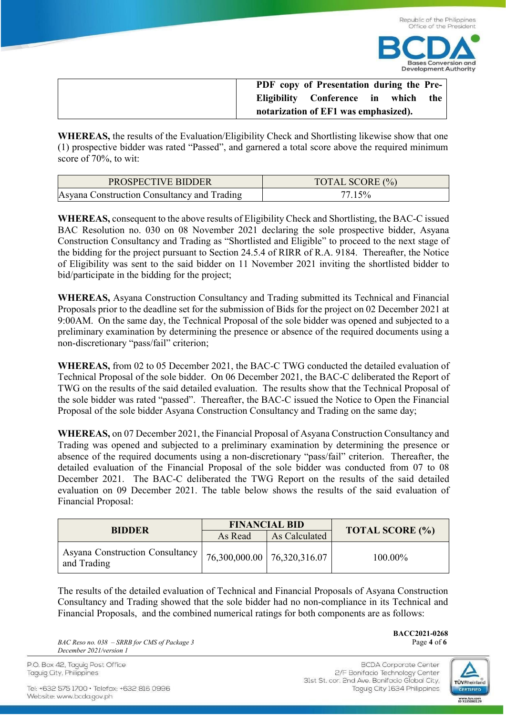

| PDF copy of Presentation during the Pre-  |  |  |  |
|-------------------------------------------|--|--|--|
| Eligibility Conference in<br>the<br>which |  |  |  |
| notarization of EF1 was emphasized).      |  |  |  |

**WHEREAS,** the results of the Evaluation/Eligibility Check and Shortlisting likewise show that one (1) prospective bidder was rated "Passed", and garnered a total score above the required minimum score of 70%, to wit:

| <b>PROSPECTIVE BIDDER</b>                   | TOTAL SCORE (%) |
|---------------------------------------------|-----------------|
| Asyana Construction Consultancy and Trading | 15%             |

**WHEREAS,** consequent to the above results of Eligibility Check and Shortlisting, the BAC-C issued BAC Resolution no. 030 on 08 November 2021 declaring the sole prospective bidder, Asyana Construction Consultancy and Trading as "Shortlisted and Eligible" to proceed to the next stage of the bidding for the project pursuant to Section 24.5.4 of RIRR of R.A. 9184. Thereafter, the Notice of Eligibility was sent to the said bidder on 11 November 2021 inviting the shortlisted bidder to bid/participate in the bidding for the project;

**WHEREAS,** Asyana Construction Consultancy and Trading submitted its Technical and Financial Proposals prior to the deadline set for the submission of Bids for the project on 02 December 2021 at 9:00AM. On the same day, the Technical Proposal of the sole bidder was opened and subjected to a preliminary examination by determining the presence or absence of the required documents using a non-discretionary "pass/fail" criterion;

**WHEREAS,** from 02 to 05 December 2021, the BAC-C TWG conducted the detailed evaluation of Technical Proposal of the sole bidder. On 06 December 2021, the BAC-C deliberated the Report of TWG on the results of the said detailed evaluation. The results show that the Technical Proposal of the sole bidder was rated "passed". Thereafter, the BAC-C issued the Notice to Open the Financial Proposal of the sole bidder Asyana Construction Consultancy and Trading on the same day;

**WHEREAS,** on 07 December 2021, the Financial Proposal of Asyana Construction Consultancy and Trading was opened and subjected to a preliminary examination by determining the presence or absence of the required documents using a non-discretionary "pass/fail" criterion. Thereafter, the detailed evaluation of the Financial Proposal of the sole bidder was conducted from 07 to 08 December 2021. The BAC-C deliberated the TWG Report on the results of the said detailed evaluation on 09 December 2021. The table below shows the results of the said evaluation of Financial Proposal:

| <b>BIDDER</b>                                  |         | <b>FINANCIAL BID</b>          |                        |  |
|------------------------------------------------|---------|-------------------------------|------------------------|--|
|                                                | As Read | As Calculated                 | <b>TOTAL SCORE (%)</b> |  |
| Asyana Construction Consultancy<br>and Trading |         | 76,300,000.00   76,320,316.07 | 100.00%                |  |

The results of the detailed evaluation of Technical and Financial Proposals of Asyana Construction Consultancy and Trading showed that the sole bidder had no non-compliance in its Technical and Financial Proposals, and the combined numerical ratings for both components are as follows:

*BAC Reso no. 038 – SRRB for CMS of Package 3* Page **4** of **6** *December 2021/version 1*

**BACC2021-0268**

P.O. Box 42, Taguig Post Office Taguig City, Philippines

Tel: +632 575 1700 · Telefax: +632 816 0996 Website: www.bcda.gov.ph

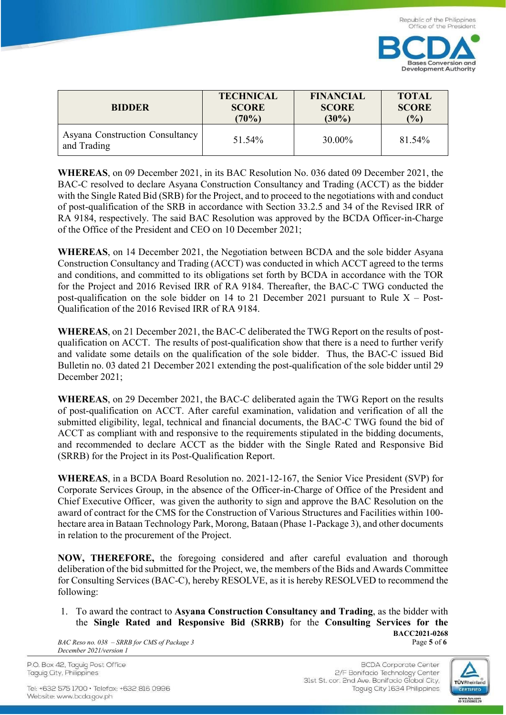

| <b>BIDDER</b>                                  | <b>TECHNICAL</b> | <b>FINANCIAL</b> | <b>TOTAL</b> |
|------------------------------------------------|------------------|------------------|--------------|
|                                                | <b>SCORE</b>     | <b>SCORE</b>     | <b>SCORE</b> |
|                                                | (70%)            | $(30\%)$         | (%)          |
| Asyana Construction Consultancy<br>and Trading | 51.54%           | 30.00%           | 81.54%       |

**WHEREAS**, on 09 December 2021, in its BAC Resolution No. 036 dated 09 December 2021, the BAC-C resolved to declare Asyana Construction Consultancy and Trading (ACCT) as the bidder with the Single Rated Bid (SRB) for the Project, and to proceed to the negotiations with and conduct of post-qualification of the SRB in accordance with Section 33.2.5 and 34 of the Revised IRR of RA 9184, respectively. The said BAC Resolution was approved by the BCDA Officer-in-Charge of the Office of the President and CEO on 10 December 2021;

**WHEREAS**, on 14 December 2021, the Negotiation between BCDA and the sole bidder Asyana Construction Consultancy and Trading (ACCT) was conducted in which ACCT agreed to the terms and conditions, and committed to its obligations set forth by BCDA in accordance with the TOR for the Project and 2016 Revised IRR of RA 9184. Thereafter, the BAC-C TWG conducted the post-qualification on the sole bidder on 14 to 21 December 2021 pursuant to Rule  $X - Post$ -Qualification of the 2016 Revised IRR of RA 9184.

**WHEREAS**, on 21 December 2021, the BAC-C deliberated the TWG Report on the results of postqualification on ACCT. The results of post-qualification show that there is a need to further verify and validate some details on the qualification of the sole bidder. Thus, the BAC-C issued Bid Bulletin no. 03 dated 21 December 2021 extending the post-qualification of the sole bidder until 29 December 2021;

**WHEREAS**, on 29 December 2021, the BAC-C deliberated again the TWG Report on the results of post-qualification on ACCT. After careful examination, validation and verification of all the submitted eligibility, legal, technical and financial documents, the BAC-C TWG found the bid of ACCT as compliant with and responsive to the requirements stipulated in the bidding documents, and recommended to declare ACCT as the bidder with the Single Rated and Responsive Bid (SRRB) for the Project in its Post-Qualification Report.

**WHEREAS**, in a BCDA Board Resolution no. 2021-12-167, the Senior Vice President (SVP) for Corporate Services Group, in the absence of the Officer-in-Charge of Office of the President and Chief Executive Officer, was given the authority to sign and approve the BAC Resolution on the award of contract for the CMS for the Construction of Various Structures and Facilities within 100 hectare area in Bataan Technology Park, Morong, Bataan (Phase 1-Package 3), and other documents in relation to the procurement of the Project.

**NOW, THEREFORE,** the foregoing considered and after careful evaluation and thorough deliberation of the bid submitted for the Project, we, the members of the Bids and Awards Committee for Consulting Services (BAC-C), hereby RESOLVE, as it is hereby RESOLVED to recommend the following:

**BACC2021-0268** 1. To award the contract to **Asyana Construction Consultancy and Trading**, as the bidder with the **Single Rated and Responsive Bid (SRRB)** for the **Consulting Services for the** 

*BAC Reso no. 038 – SRRB for CMS of Package 3* Page **5** of **6** *December 2021/version 1*

P.O. Box 42, Taguig Post Office Taguig City, Philippines

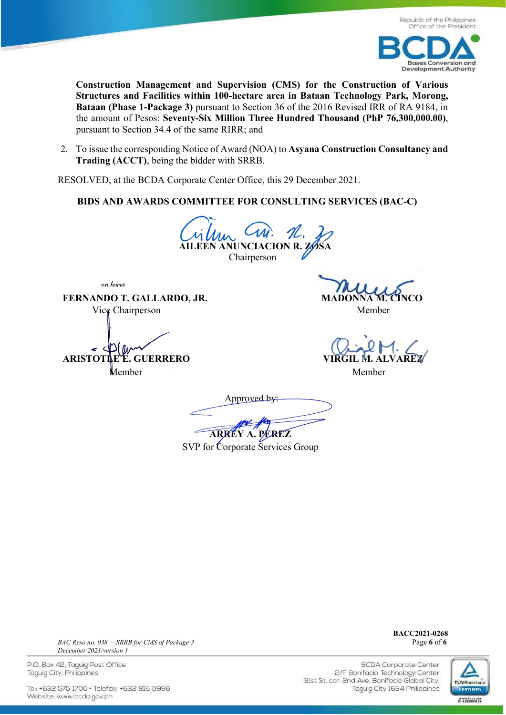

**Construction Management and Supervision (CMS) for the Construction of Various Structures and Facilities within 100-hectare area in Bataan Technology Park, Morong, Bataan (Phase 1-Package 3)** pursuant to Section 36 of the 2016 Revised IRR of RA 9184, in the amount of Pesos: **Seventy-Six Million Three Hundred Thousand (PhP 76,300,000.00)**, pursuant to Section 34.4 of the same RIRR; and

2. To issue the corresponding Notice of Award (NOA) to **Asyana Construction Consultancy and Trading (ACCT)**, being the bidder with SRRB.

RESOLVED, at the BCDA Corporate Center Office, this 29 December 2021.

**BIDS AND AWARDS COMMITTEE FOR CONSULTING SERVICES (BAC-C)**

**Lillian CM.** H. Chairperson

on leave

**FERNANDO T. GALLARDO, JR.** Vice Chairperson Member

*ARISTOTLE E. GUERRERO* Member Member

Approved by:  **ARREY A. PEREZ**

SVP for Corporate Services Group

**BACC2021-0268**



*BAC Reso no. 038 – SRRB for CMS of Package 3* Page **6** of **6** *December 2021/version 1*

P.O. Box 42, Taguig Post Office Taguig City, Philippines

Tel: +632 575 1700 · Telefax: +632 816 0996 Website: www.bcda.gov.ph